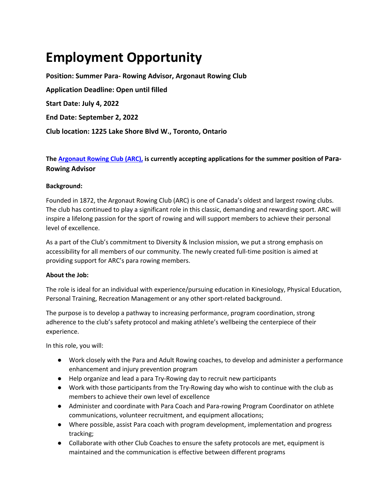# **Employment Opportunity**

**Position: Summer Para- Rowing Advisor, Argonaut Rowing Club Application Deadline: Open until filled Start Date: July 4, 2022 End Date: September 2, 2022 Club location: 1225 Lake Shore Blvd W., Toronto, Ontario**

## **The Argonaut Rowing Club (ARC), is currently accepting applications for the summer position of Para-Rowing Advisor**

### **Background:**

Founded in 1872, the Argonaut Rowing Club (ARC) is one of Canada's oldest and largest rowing clubs. The club has continued to play a significant role in this classic, demanding and rewarding sport. ARC will inspire a lifelong passion for the sport of rowing and will support members to achieve their personal level of excellence.

As a part of the Club's commitment to Diversity & Inclusion mission, we put a strong emphasis on accessibility for all members of our community. The newly created full-time position is aimed at providing support for ARC's para rowing members.

#### **About the Job:**

The role is ideal for an individual with experience/pursuing education in Kinesiology, Physical Education, Personal Training, Recreation Management or any other sport-related background.

The purpose is to develop a pathway to increasing performance, program coordination, strong adherence to the club's safety protocol and making athlete's wellbeing the centerpiece of their experience.

In this role, you will:

- Work closely with the Para and Adult Rowing coaches, to develop and administer a performance enhancement and injury prevention program
- Help organize and lead a para Try-Rowing day to recruit new participants
- Work with those participants from the Try-Rowing day who wish to continue with the club as members to achieve their own level of excellence
- Administer and coordinate with Para Coach and Para-rowing Program Coordinator on athlete communications, volunteer recruitment, and equipment allocations;
- Where possible, assist Para coach with program development, implementation and progress tracking;
- Collaborate with other Club Coaches to ensure the safety protocols are met, equipment is maintained and the communication is effective between different programs